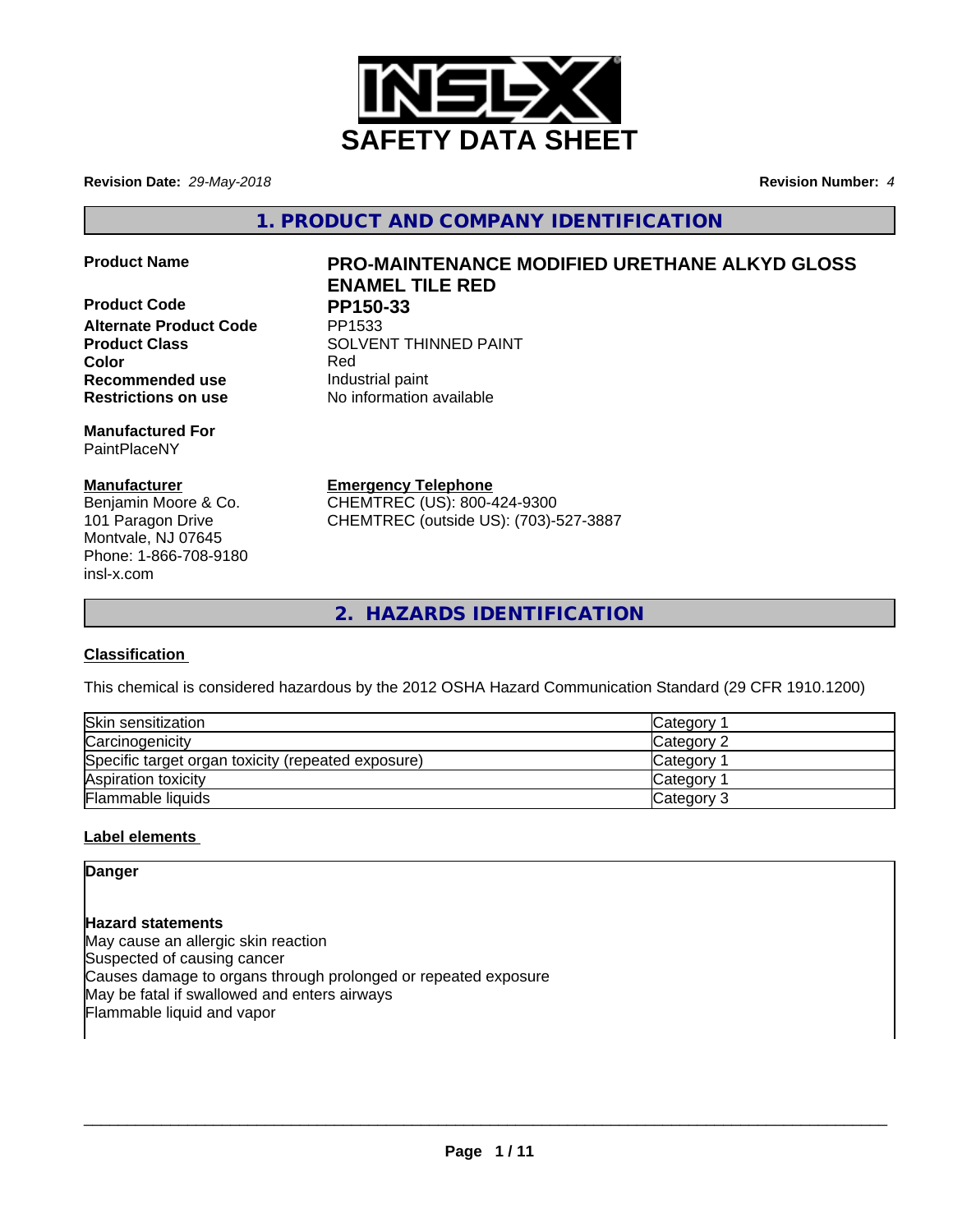

**Revision Date:** *29-May-2018* **Revision Number:** *4*

**1. PRODUCT AND COMPANY IDENTIFICATION**

**Product Code PP150-33**<br>Alternate Product Code PP1533 **Alternate Product Code Recommended use Industrial paint** 

**Manufactured For** PaintPlaceNY

# **Manufacturer**

Benjamin Moore & Co. 101 Paragon Drive Montvale, NJ 07645 Phone: 1-866-708-9180 insl-x.com

# **Product Name PRO-MAINTENANCE MODIFIED URETHANE ALKYD GLOSS ENAMEL TILE RED**

**Product Class SOLVENT THINNED PAINT Color** Red **Restrictions on use** No information available

**Emergency Telephone**

CHEMTREC (US): 800-424-9300 CHEMTREC (outside US): (703)-527-3887

**2. HAZARDS IDENTIFICATION**

# **Classification**

This chemical is considered hazardous by the 2012 OSHA Hazard Communication Standard (29 CFR 1910.1200)

| Skin sensitization                                 | Category        |
|----------------------------------------------------|-----------------|
| Carcinogenicity                                    | Category 2      |
| Specific target organ toxicity (repeated exposure) | <b>Category</b> |
| Aspiration toxicity                                | <b>Category</b> |
| Flammable liquids                                  | Category 3      |

# **Label elements**

**Danger**

**Hazard statements** May cause an allergic skin reaction Suspected of causing cancer Causes damage to organs through prolonged or repeated exposure May be fatal if swallowed and enters airways Flammable liquid and vapor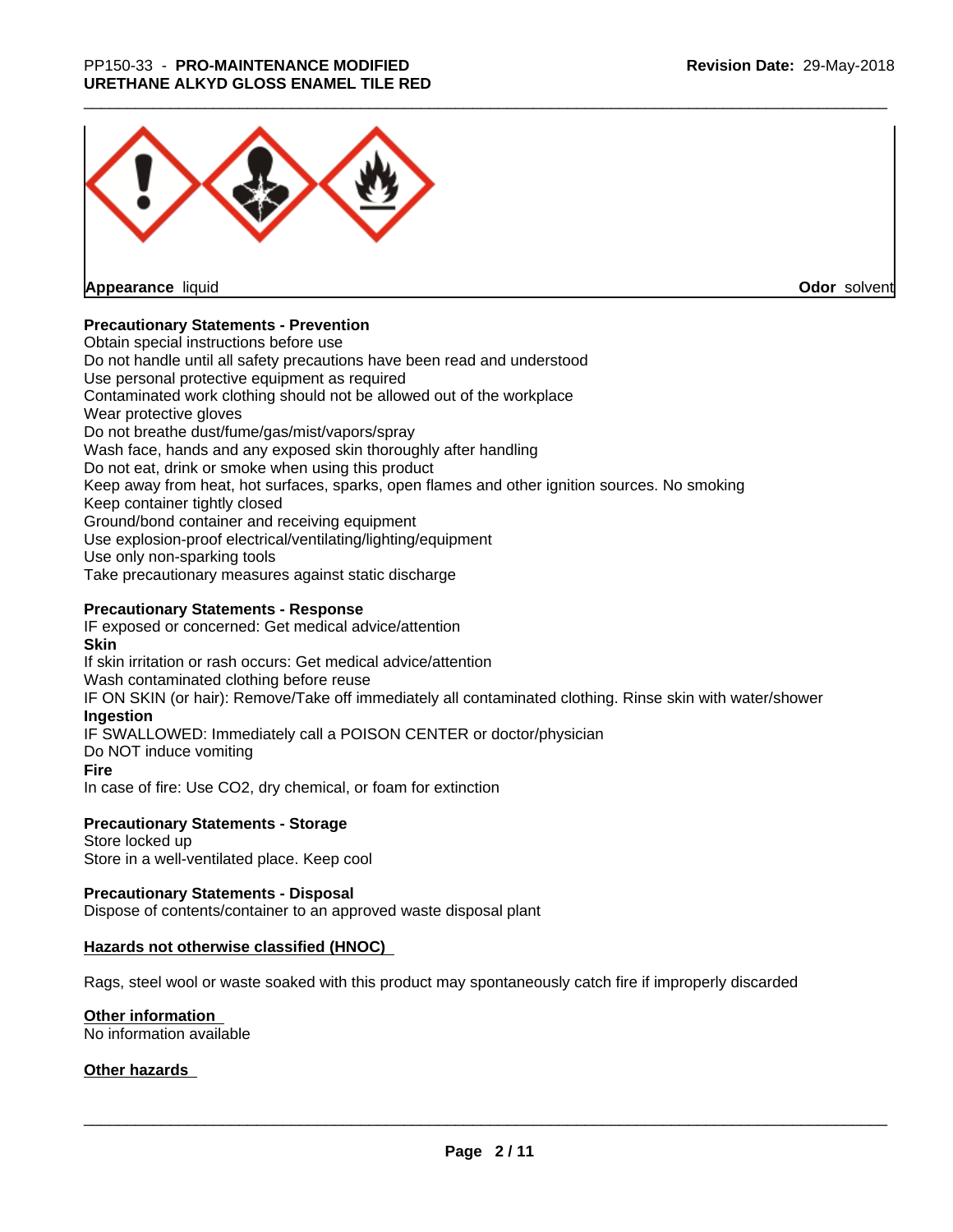

**Appearance** liquid

**Odor** solvent

# **Precautionary Statements - Prevention**

Obtain special instructions before use Do not handle until all safety precautions have been read and understood Use personal protective equipment as required Contaminated work clothing should not be allowed out of the workplace Wear protective gloves Do not breathe dust/fume/gas/mist/vapors/spray Wash face, hands and any exposed skin thoroughly after handling Do not eat, drink or smoke when using this product Keep away from heat, hot surfaces, sparks, open flames and other ignition sources. No smoking Keep container tightly closed Ground/bond container and receiving equipment Use explosion-proof electrical/ventilating/lighting/equipment Use only non-sparking tools Take precautionary measures against static discharge

# **Precautionary Statements - Response**

IF exposed or concerned: Get medical advice/attention **Skin** If skin irritation or rash occurs: Get medical advice/attention Wash contaminated clothing before reuse IF ON SKIN (or hair): Remove/Take off immediately all contaminated clothing. Rinse skin with water/shower **Ingestion** IF SWALLOWED: Immediately call a POISON CENTER or doctor/physician Do NOT induce vomiting **Fire** In case of fire: Use CO2, dry chemical, or foam for extinction

## **Precautionary Statements - Storage**

Store locked up Store in a well-ventilated place. Keep cool

## **Precautionary Statements - Disposal**

Dispose of contents/container to an approved waste disposal plant

## **Hazards not otherwise classified (HNOC)**

Rags, steel wool or waste soaked with this product may spontaneously catch fire if improperly discarded

## **Other information**

No information available

## **Other hazards**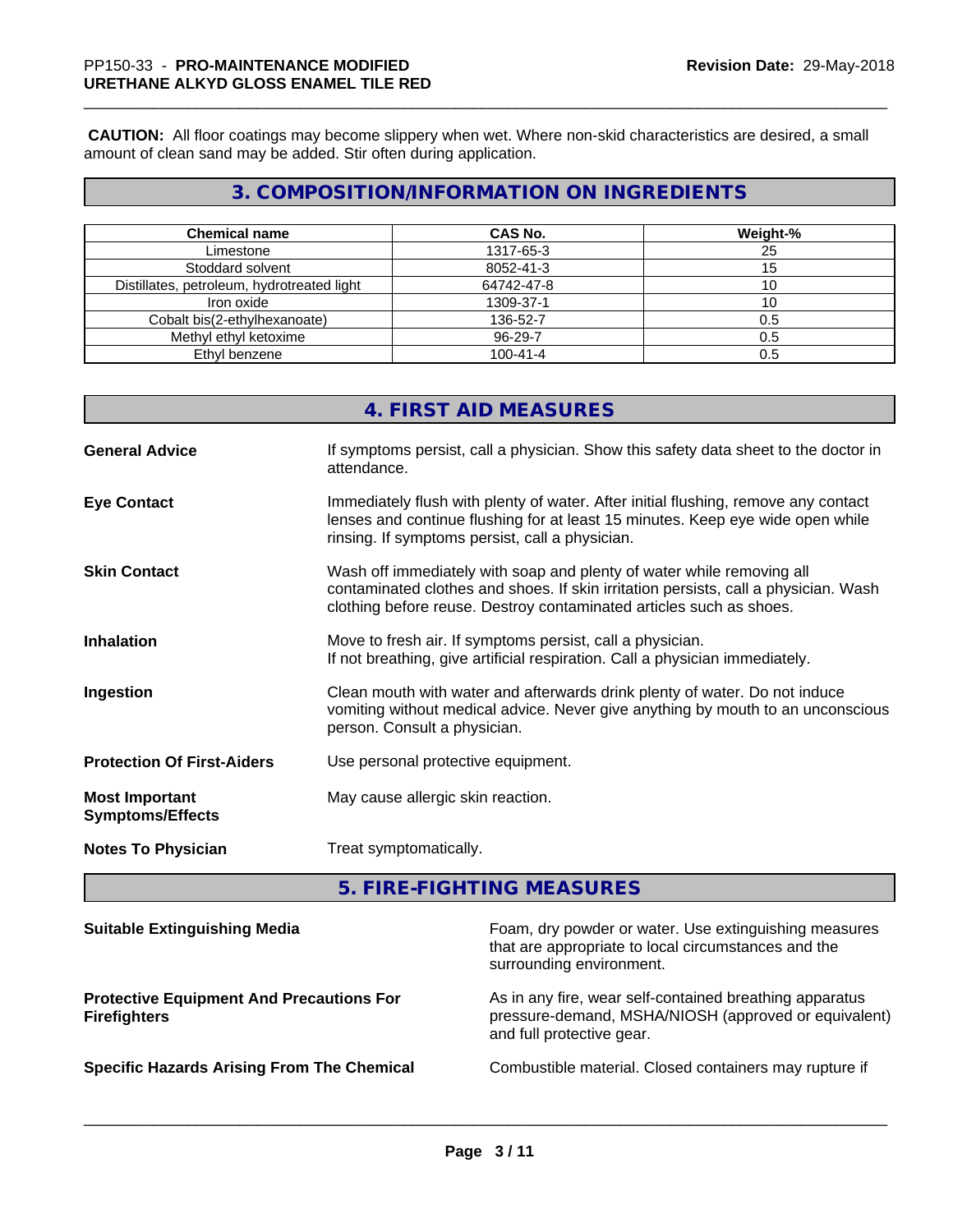**CAUTION:** All floor coatings may become slippery when wet. Where non-skid characteristics are desired, a small amount of clean sand may be added. Stir often during application.

# **3. COMPOSITION/INFORMATION ON INGREDIENTS**

| <b>Chemical name</b>                       | <b>CAS No.</b> | Weight-% |
|--------------------------------------------|----------------|----------|
| Limestone                                  | 1317-65-3      | 25       |
| Stoddard solvent                           | 8052-41-3      | 15       |
| Distillates, petroleum, hydrotreated light | 64742-47-8     | ιv       |
| Iron oxide                                 | 1309-37-1      | 10       |
| Cobalt bis(2-ethylhexanoate)               | 136-52-7       | 0.5      |
| Methyl ethyl ketoxime                      | 96-29-7        | 0.5      |
| Ethyl benzene                              | $100 - 41 - 4$ | 0.5      |

|                                                  | 4. FIRST AID MEASURES                                                                                                                                                                                                               |
|--------------------------------------------------|-------------------------------------------------------------------------------------------------------------------------------------------------------------------------------------------------------------------------------------|
| <b>General Advice</b>                            | If symptoms persist, call a physician. Show this safety data sheet to the doctor in<br>attendance.                                                                                                                                  |
| <b>Eye Contact</b>                               | Immediately flush with plenty of water. After initial flushing, remove any contact<br>lenses and continue flushing for at least 15 minutes. Keep eye wide open while<br>rinsing. If symptoms persist, call a physician.             |
| <b>Skin Contact</b>                              | Wash off immediately with soap and plenty of water while removing all<br>contaminated clothes and shoes. If skin irritation persists, call a physician. Wash<br>clothing before reuse. Destroy contaminated articles such as shoes. |
| <b>Inhalation</b>                                | Move to fresh air. If symptoms persist, call a physician.<br>If not breathing, give artificial respiration. Call a physician immediately.                                                                                           |
| Ingestion                                        | Clean mouth with water and afterwards drink plenty of water. Do not induce<br>vomiting without medical advice. Never give anything by mouth to an unconscious<br>person. Consult a physician.                                       |
| <b>Protection Of First-Aiders</b>                | Use personal protective equipment.                                                                                                                                                                                                  |
| <b>Most Important</b><br><b>Symptoms/Effects</b> | May cause allergic skin reaction.                                                                                                                                                                                                   |
| <b>Notes To Physician</b>                        | Treat symptomatically.                                                                                                                                                                                                              |
|                                                  |                                                                                                                                                                                                                                     |

**5. FIRE-FIGHTING MEASURES**

| <b>Suitable Extinguishing Media</b>                                    | Foam, dry powder or water. Use extinguishing measures<br>that are appropriate to local circumstances and the<br>surrounding environment.     |
|------------------------------------------------------------------------|----------------------------------------------------------------------------------------------------------------------------------------------|
| <b>Protective Equipment And Precautions For</b><br><b>Firefighters</b> | As in any fire, wear self-contained breathing apparatus<br>pressure-demand, MSHA/NIOSH (approved or equivalent)<br>and full protective gear. |
| <b>Specific Hazards Arising From The Chemical</b>                      | Combustible material. Closed containers may rupture if                                                                                       |
|                                                                        |                                                                                                                                              |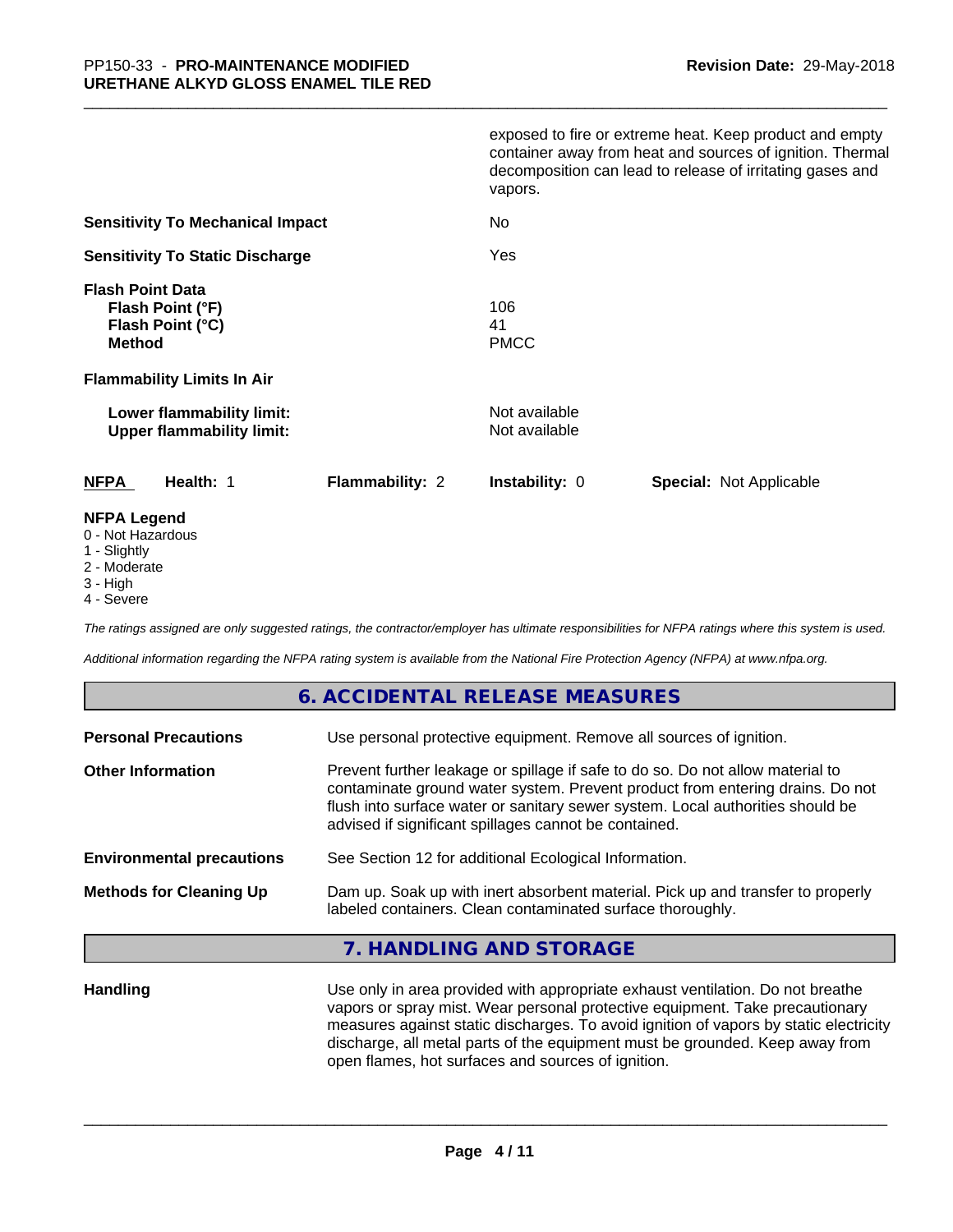|                                                                                                                       | exposed to fire or extreme heat. Keep product and empty<br>container away from heat and sources of ignition. Thermal<br>decomposition can lead to release of irritating gases and<br>vapors. |
|-----------------------------------------------------------------------------------------------------------------------|----------------------------------------------------------------------------------------------------------------------------------------------------------------------------------------------|
| <b>Sensitivity To Mechanical Impact</b>                                                                               | No                                                                                                                                                                                           |
| <b>Sensitivity To Static Discharge</b>                                                                                | Yes                                                                                                                                                                                          |
| <b>Flash Point Data</b><br>Flash Point (°F)<br>Flash Point (°C)<br><b>Method</b><br><b>Flammability Limits In Air</b> | 106<br>41<br><b>PMCC</b>                                                                                                                                                                     |
| Lower flammability limit:<br><b>Upper flammability limit:</b>                                                         | Not available<br>Not available                                                                                                                                                               |
| <b>NFPA</b><br>Health: 1<br><b>Flammability: 2</b>                                                                    | <b>Instability: 0</b><br><b>Special: Not Applicable</b>                                                                                                                                      |
| <b>NFPA Legend</b>                                                                                                    |                                                                                                                                                                                              |

- 0 Not Hazardous
- 1 Slightly
- 2 Moderate
- 3 High
- 4 Severe

*The ratings assigned are only suggested ratings, the contractor/employer has ultimate responsibilities for NFPA ratings where this system is used.*

*Additional information regarding the NFPA rating system is available from the National Fire Protection Agency (NFPA) at www.nfpa.org.*

# **6. ACCIDENTAL RELEASE MEASURES**

| Use personal protective equipment. Remove all sources of ignition.                                                                                                                                                                                                                                         |
|------------------------------------------------------------------------------------------------------------------------------------------------------------------------------------------------------------------------------------------------------------------------------------------------------------|
| Prevent further leakage or spillage if safe to do so. Do not allow material to<br>contaminate ground water system. Prevent product from entering drains. Do not<br>flush into surface water or sanitary sewer system. Local authorities should be<br>advised if significant spillages cannot be contained. |
| See Section 12 for additional Ecological Information.                                                                                                                                                                                                                                                      |
| Dam up. Soak up with inert absorbent material. Pick up and transfer to properly<br>labeled containers. Clean contaminated surface thoroughly.                                                                                                                                                              |
|                                                                                                                                                                                                                                                                                                            |

# **7. HANDLING AND STORAGE**

**Handling** Use only in area provided with appropriate exhaust ventilation. Do not breathe vapors or spray mist. Wear personal protective equipment. Take precautionary measures against static discharges. To avoid ignition of vapors by static electricity discharge, all metal parts of the equipment must be grounded. Keep away from open flames, hot surfaces and sources of ignition.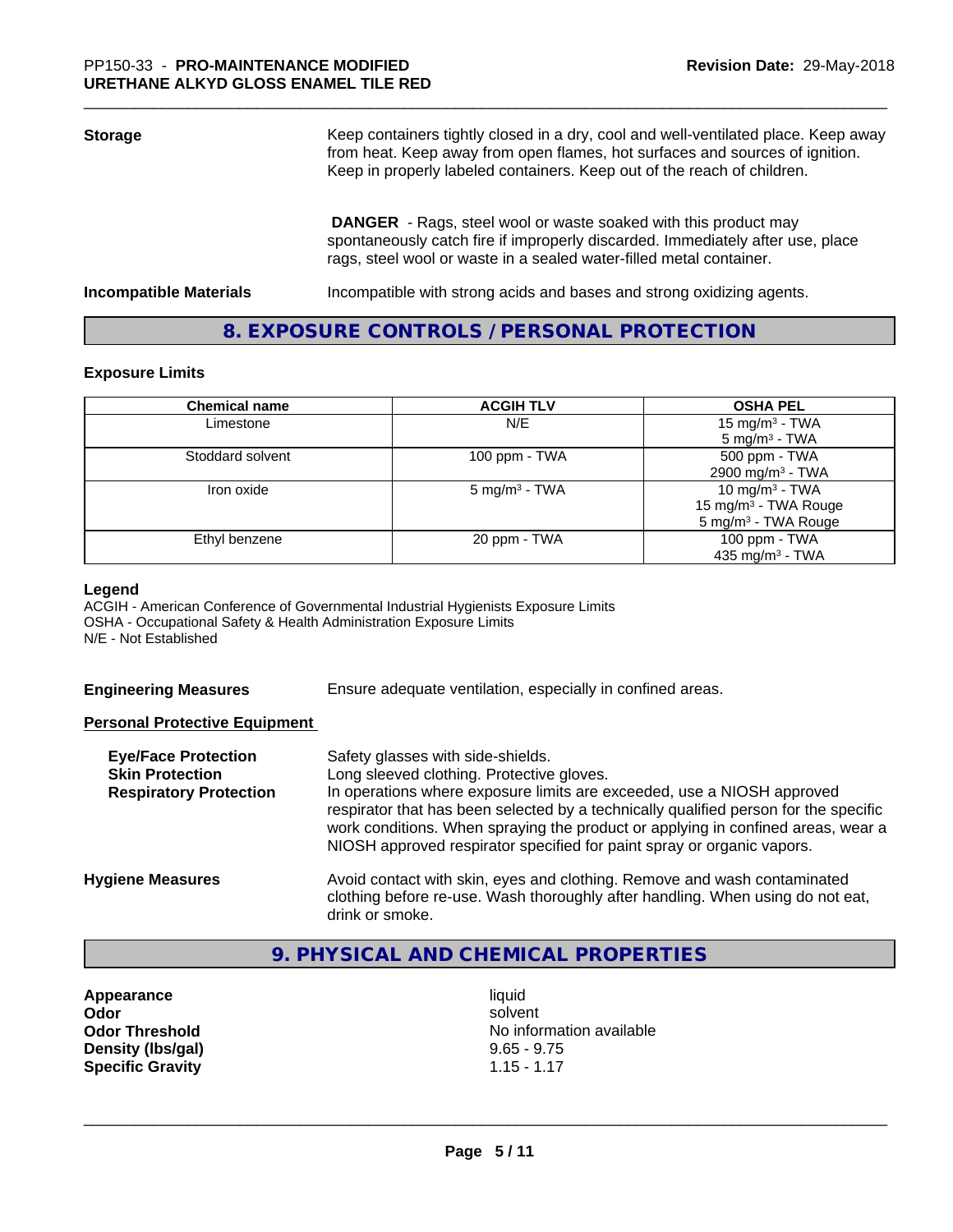| <b>Storage</b>                | Keep containers tightly closed in a dry, cool and well-ventilated place. Keep away<br>from heat. Keep away from open flames, hot surfaces and sources of ignition.<br>Keep in properly labeled containers. Keep out of the reach of children. |  |
|-------------------------------|-----------------------------------------------------------------------------------------------------------------------------------------------------------------------------------------------------------------------------------------------|--|
|                               | <b>DANGER</b> - Rags, steel wool or waste soaked with this product may<br>spontaneously catch fire if improperly discarded. Immediately after use, place<br>rags, steel wool or waste in a sealed water-filled metal container.               |  |
| <b>Incompatible Materials</b> | Incompatible with strong acids and bases and strong oxidizing agents.                                                                                                                                                                         |  |

# **8. EXPOSURE CONTROLS / PERSONAL PROTECTION**

#### **Exposure Limits**

| <b>Chemical name</b> | <b>ACGIH TLV</b>         | <b>OSHA PEL</b>                  |
|----------------------|--------------------------|----------------------------------|
| Limestone            | N/E                      | 15 mg/m <sup>3</sup> - TWA       |
|                      |                          | $5 \text{ mg/m}^3$ - TWA         |
| Stoddard solvent     | 100 ppm $-$ TWA          | 500 ppm - TWA                    |
|                      |                          | 2900 mg/m <sup>3</sup> - TWA     |
| Iron oxide           | $5 \text{ mg/m}^3$ - TWA | 10 mg/m $3$ - TWA                |
|                      |                          | 15 mg/m <sup>3</sup> - TWA Rouge |
|                      |                          | 5 mg/m <sup>3</sup> - TWA Rouge  |
| Ethyl benzene        | 20 ppm - TWA             | 100 ppm - TWA                    |
|                      |                          | 435 mg/m $3$ - TWA               |

#### **Legend**

ACGIH - American Conference of Governmental Industrial Hygienists Exposure Limits OSHA - Occupational Safety & Health Administration Exposure Limits N/E - Not Established

**Engineering Measures** Ensure adequate ventilation, especially in confined areas.

## **Personal Protective Equipment**

| <b>Eye/Face Protection</b><br><b>Skin Protection</b><br><b>Respiratory Protection</b> | Safety glasses with side-shields.<br>Long sleeved clothing. Protective gloves.<br>In operations where exposure limits are exceeded, use a NIOSH approved<br>respirator that has been selected by a technically qualified person for the specific<br>work conditions. When spraying the product or applying in confined areas, wear a<br>NIOSH approved respirator specified for paint spray or organic vapors. |
|---------------------------------------------------------------------------------------|----------------------------------------------------------------------------------------------------------------------------------------------------------------------------------------------------------------------------------------------------------------------------------------------------------------------------------------------------------------------------------------------------------------|
| <b>Hygiene Measures</b>                                                               | Avoid contact with skin, eyes and clothing. Remove and wash contaminated<br>clothing before re-use. Wash thoroughly after handling. When using do not eat,<br>drink or smoke.                                                                                                                                                                                                                                  |

# **9. PHYSICAL AND CHEMICAL PROPERTIES**

**Appearance** liquid<br> **Appearance** liquid<br> **Odor** solver **Density (lbs/gal)** 9.65 - 9.75<br> **Specific Gravity** 1.15 - 1.17 **Specific Gravity** 

**Odor** solvent **Odor Threshold**<br> **Density (Ibs/gal)**<br> **Density (Ibs/gal)**<br> **No information available**<br>
9.65 - 9.75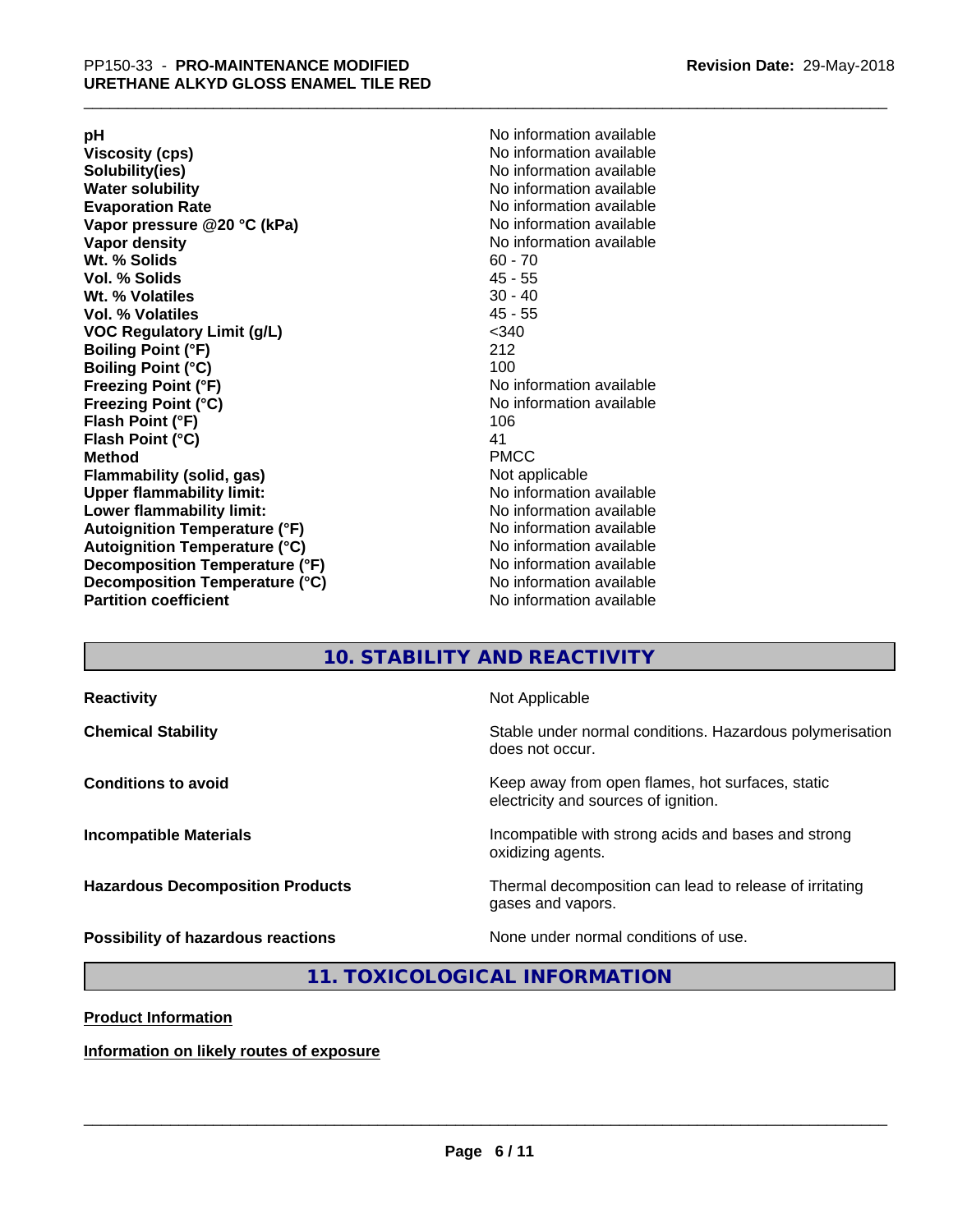**Viscosity (cps)** <br> **Viscosity (cps)** No information available<br>
No information available<br>
No information available **Water solubility**<br> **Evaporation Rate**<br> **Evaporation Rate**<br> **Evaporation Rate Vapor** pressure @20 °C (kPa) **Vapor density No information available Wt. % Solids** 60 - 70<br> **Vol. % Solids** 60 - 70<br> **Vol. % Solids** 65 **Vol. % Solids Wt.** % Volatiles 30 - 40 **Vol. % Volatiles** 45 - 55 **VOC Regulatory Limit (g/L)** <340 **Boiling Point (°F)** 212 **Boiling Point (°C)**<br>Freezing Point (°F) **Freezing Point (°C)** No information available **Flash Point (°F)** 106 **Flash Point (°C)** 41 **Method** PMCC **Flammability (solid, gas)** Not applicable **Upper flammability limit:** No information available **Lower flammability limit:** No information available **Autoignition Temperature (°F)** No information available **Autoignition Temperature (°C)** No information available **Decomposition Temperature (°F)** No information available **Decomposition Temperature (°C)** No information available<br> **Partition coefficient Partition available** 

**pH**<br>
Viscosity (cps) The Contract of the Contract of No information available<br>
No information available **Solubility(ies)** No information available No information available<br>No information available **No information available No information available** 

# **10. STABILITY AND REACTIVITY**

| <b>Reactivity</b>                         | Not Applicable                                                                           |
|-------------------------------------------|------------------------------------------------------------------------------------------|
| <b>Chemical Stability</b>                 | Stable under normal conditions. Hazardous polymerisation<br>does not occur.              |
| <b>Conditions to avoid</b>                | Keep away from open flames, hot surfaces, static<br>electricity and sources of ignition. |
| <b>Incompatible Materials</b>             | Incompatible with strong acids and bases and strong<br>oxidizing agents.                 |
| <b>Hazardous Decomposition Products</b>   | Thermal decomposition can lead to release of irritating<br>gases and vapors.             |
| <b>Possibility of hazardous reactions</b> | None under normal conditions of use.                                                     |

**11. TOXICOLOGICAL INFORMATION**

**Product Information**

**Information on likely routes of exposure**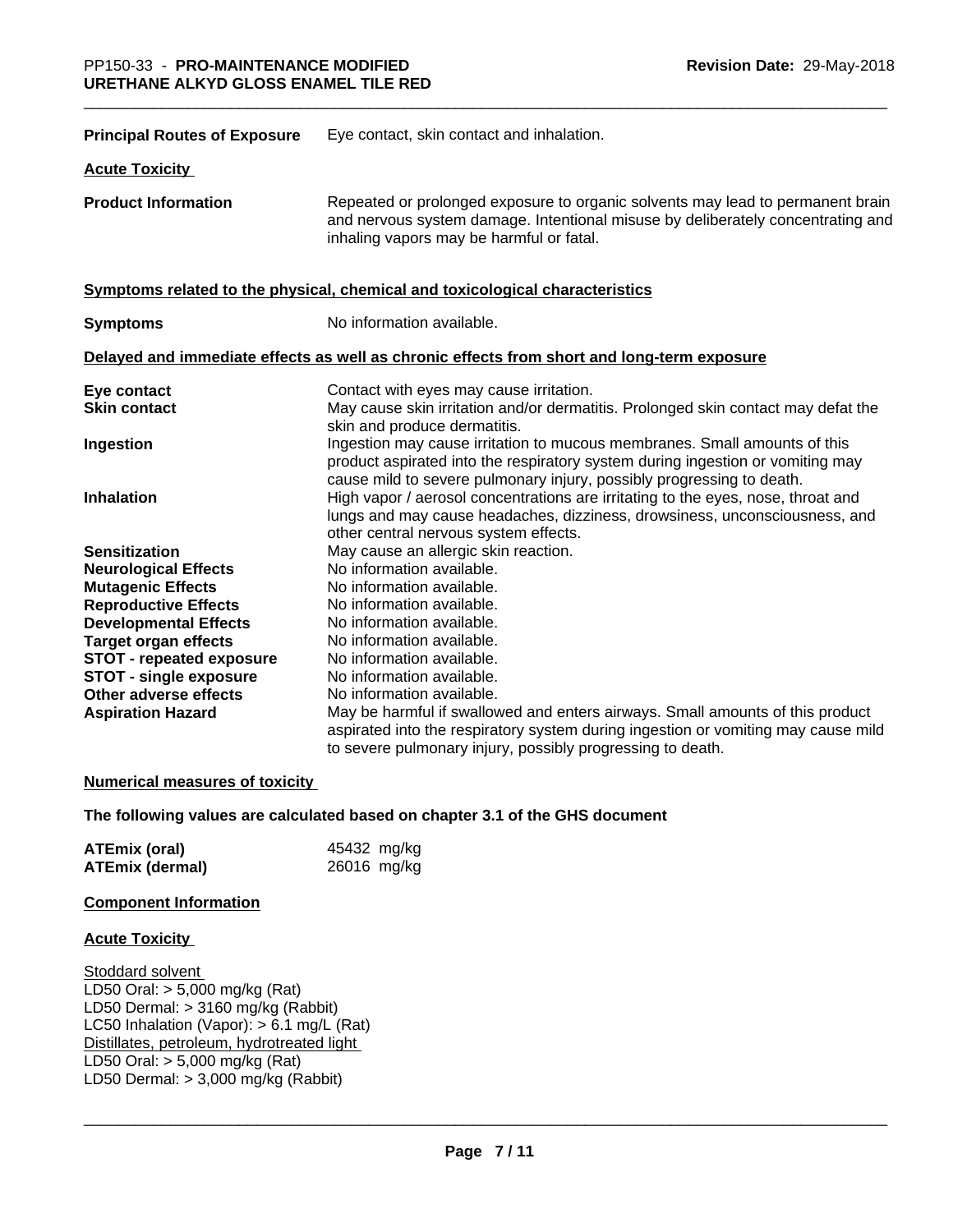| <b>Principal Routes of Exposure</b> | Eye contact, skin contact and inhalation.                                                                                                                                                                                            |
|-------------------------------------|--------------------------------------------------------------------------------------------------------------------------------------------------------------------------------------------------------------------------------------|
| <b>Acute Toxicity</b>               |                                                                                                                                                                                                                                      |
| <b>Product Information</b>          | Repeated or prolonged exposure to organic solvents may lead to permanent brain<br>and nervous system damage. Intentional misuse by deliberately concentrating and<br>inhaling vapors may be harmful or fatal.                        |
|                                     | Symptoms related to the physical, chemical and toxicological characteristics                                                                                                                                                         |
| <b>Symptoms</b>                     | No information available.                                                                                                                                                                                                            |
|                                     | Delayed and immediate effects as well as chronic effects from short and long-term exposure                                                                                                                                           |
| Eye contact                         | Contact with eyes may cause irritation.                                                                                                                                                                                              |
| <b>Skin contact</b>                 | May cause skin irritation and/or dermatitis. Prolonged skin contact may defat the<br>skin and produce dermatitis.                                                                                                                    |
| Ingestion                           | Ingestion may cause irritation to mucous membranes. Small amounts of this<br>product aspirated into the respiratory system during ingestion or vomiting may<br>cause mild to severe pulmonary injury, possibly progressing to death. |
| <b>Inhalation</b>                   | High vapor / aerosol concentrations are irritating to the eyes, nose, throat and<br>lungs and may cause headaches, dizziness, drowsiness, unconsciousness, and<br>other central nervous system effects.                              |
| <b>Sensitization</b>                | May cause an allergic skin reaction.                                                                                                                                                                                                 |
| <b>Neurological Effects</b>         | No information available.                                                                                                                                                                                                            |
| <b>Mutagenic Effects</b>            | No information available.                                                                                                                                                                                                            |
| <b>Reproductive Effects</b>         | No information available.                                                                                                                                                                                                            |
| <b>Developmental Effects</b>        | No information available.                                                                                                                                                                                                            |
| <b>Target organ effects</b>         | No information available.                                                                                                                                                                                                            |
| <b>STOT - repeated exposure</b>     | No information available.                                                                                                                                                                                                            |
| <b>STOT - single exposure</b>       | No information available.                                                                                                                                                                                                            |
| Other adverse effects               | No information available.                                                                                                                                                                                                            |
| <b>Aspiration Hazard</b>            | May be harmful if swallowed and enters airways. Small amounts of this product                                                                                                                                                        |
|                                     | aspirated into the respiratory system during ingestion or vomiting may cause mild<br>to severe pulmonary injury, possibly progressing to death.                                                                                      |

# **Numerical measures of toxicity**

## **The following values are calculated based on chapter 3.1 of the GHS document**

| <b>ATEmix (oral)</b>   | 45432 mg/kg |
|------------------------|-------------|
| <b>ATEmix (dermal)</b> | 26016 mg/kg |

# **Component Information**

#### **Acute Toxicity**

Stoddard solvent LD50 Oral: > 5,000 mg/kg (Rat) LD50 Dermal: > 3160 mg/kg (Rabbit) LC50 Inhalation (Vapor): > 6.1 mg/L (Rat) Distillates, petroleum, hydrotreated light LD50 Oral: > 5,000 mg/kg (Rat) LD50 Dermal:  $> 3,000$  mg/kg (Rabbit)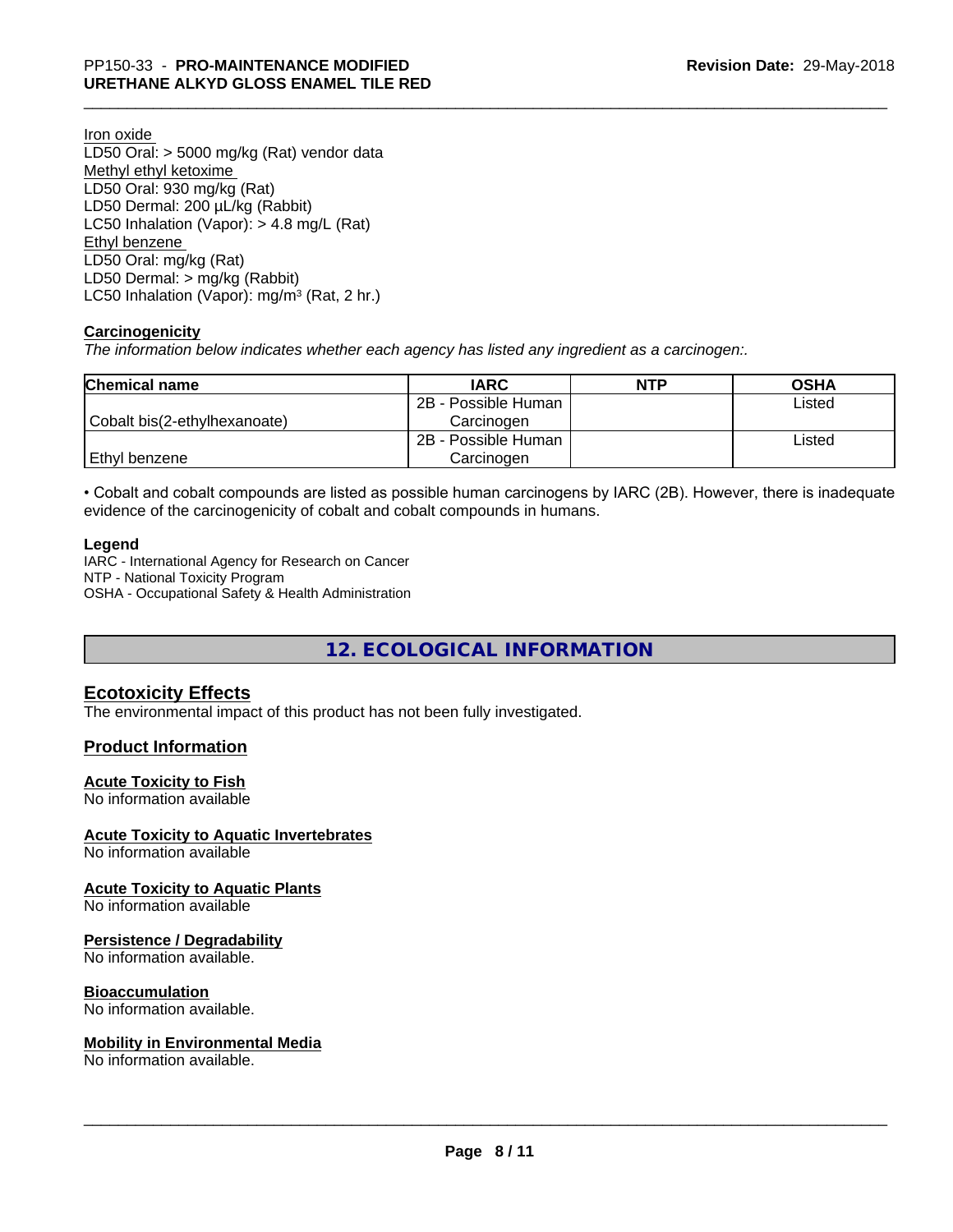Iron oxide

LD50 Oral: > 5000 mg/kg (Rat) vendor data Methyl ethyl ketoxime LD50 Oral: 930 mg/kg (Rat) LD50 Dermal: 200 µL/kg (Rabbit) LC50 Inhalation (Vapor): > 4.8 mg/L (Rat) Ethyl benzene LD50 Oral: mg/kg (Rat) LD50 Dermal: > mg/kg (Rabbit) LC50 Inhalation (Vapor): mg/m<sup>3</sup> (Rat, 2 hr.)

# **Carcinogenicity**

*The information below indicateswhether each agency has listed any ingredient as a carcinogen:.*

| <b>Chemical name</b>         | <b>IARC</b>         | <b>NTP</b> | <b>OSHA</b> |
|------------------------------|---------------------|------------|-------------|
|                              | 2B - Possible Human |            | Listed      |
| Cobalt bis(2-ethylhexanoate) | Carcinogen          |            |             |
|                              | 2B - Possible Human |            | Listed      |
| Ethyl benzene                | Carcinogen          |            |             |

• Cobalt and cobalt compounds are listed as possible human carcinogens by IARC (2B). However, there is inadequate evidence of the carcinogenicity of cobalt and cobalt compounds in humans.

# **Legend**

IARC - International Agency for Research on Cancer NTP - National Toxicity Program OSHA - Occupational Safety & Health Administration

**12. ECOLOGICAL INFORMATION**

# **Ecotoxicity Effects**

The environmental impact of this product has not been fully investigated.

# **Product Information**

## **Acute Toxicity to Fish**

No information available

## **Acute Toxicity to Aquatic Invertebrates**

No information available

## **Acute Toxicity to Aquatic Plants**

No information available

## **Persistence / Degradability**

No information available.

# **Bioaccumulation**

No information available.

## **Mobility in Environmental Media**

No information available.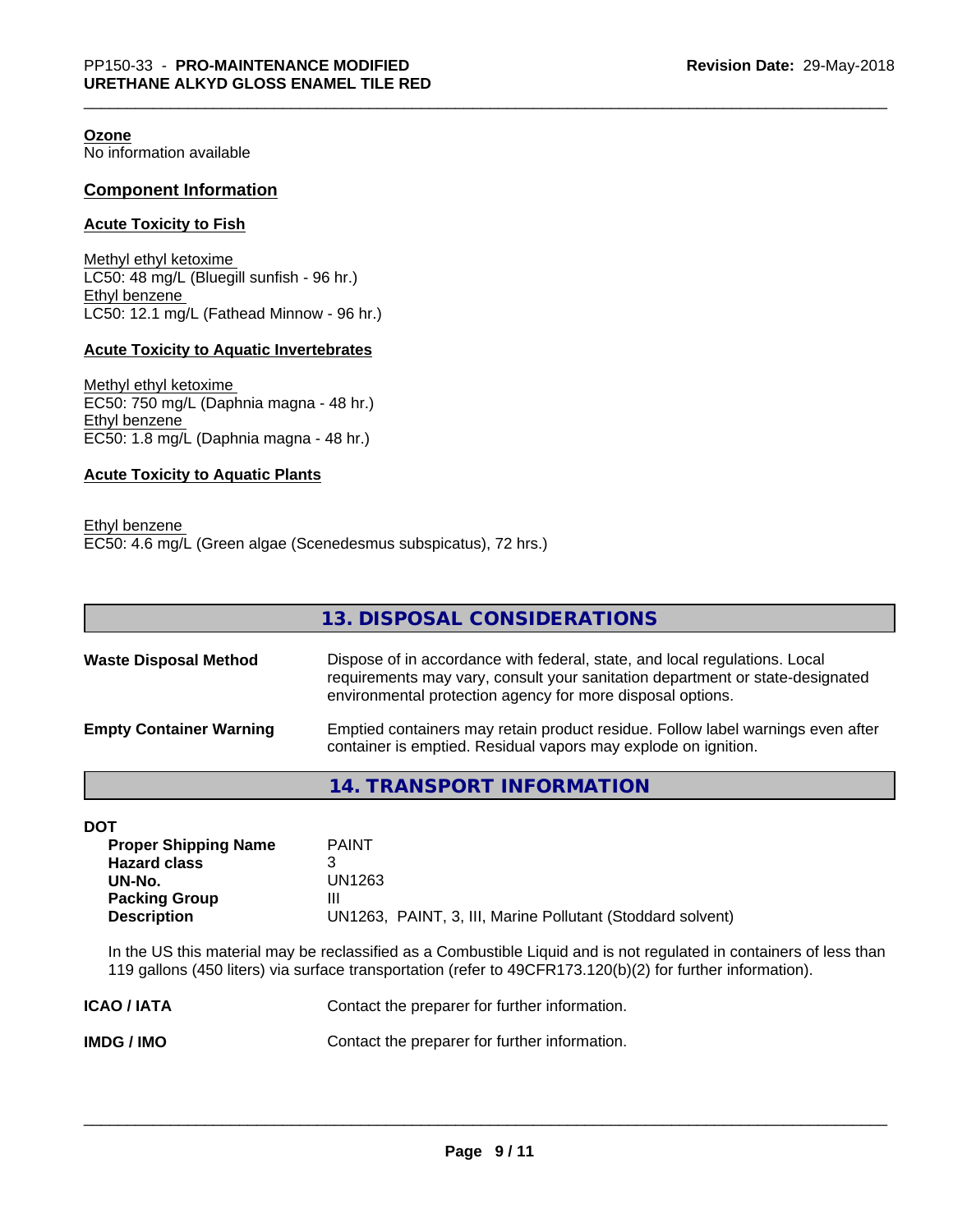**Ozone** No information available

#### **Component Information**

#### **Acute Toxicity to Fish**

Methyl ethyl ketoxime LC50: 48 mg/L (Bluegill sunfish - 96 hr.) Ethyl benzene LC50: 12.1 mg/L (Fathead Minnow - 96 hr.)

#### **Acute Toxicity to Aquatic Invertebrates**

Methyl ethyl ketoxime EC50: 750 mg/L (Daphnia magna - 48 hr.) Ethyl benzene EC50: 1.8 mg/L (Daphnia magna - 48 hr.)

# **Acute Toxicity to Aquatic Plants**

| Ethyl benzene |                                                                 |  |
|---------------|-----------------------------------------------------------------|--|
|               | EC50: 4.6 mg/L (Green algae (Scenedesmus subspicatus), 72 hrs.) |  |

|                              | 13. DISPOSAL CONSIDERATIONS                                                                                                                                 |
|------------------------------|-------------------------------------------------------------------------------------------------------------------------------------------------------------|
| <b>Waste Disposal Method</b> | Dispose of in accordance with federal, state, and local regulations. Local<br>requirements may vary, consult your sanitation department or state-designated |
|                              | environmental protection agency for more disposal options.                                                                                                  |

| <b>Empty Container Warning</b> | Emptied containers may retain product residue. Follow label warnings even after |
|--------------------------------|---------------------------------------------------------------------------------|
|                                | container is emptied. Residual vapors may explode on ignition.                  |

**14. TRANSPORT INFORMATION**

| I |  |
|---|--|

| DOT                         |                                                            |
|-----------------------------|------------------------------------------------------------|
| <b>Proper Shipping Name</b> | <b>PAINT</b>                                               |
| <b>Hazard class</b>         |                                                            |
| UN-No.                      | UN1263                                                     |
| <b>Packing Group</b>        | Ш                                                          |
| <b>Description</b>          | UN1263, PAINT, 3, III, Marine Pollutant (Stoddard solvent) |
|                             |                                                            |

In the US this material may be reclassified as a Combustible Liquid and is not regulated in containers of less than 119 gallons (450 liters) via surface transportation (refer to 49CFR173.120(b)(2) for further information).

| <b>ICAO/IATA</b> | Contact the preparer for further information. |
|------------------|-----------------------------------------------|
| IMDG / IMO       | Contact the preparer for further information. |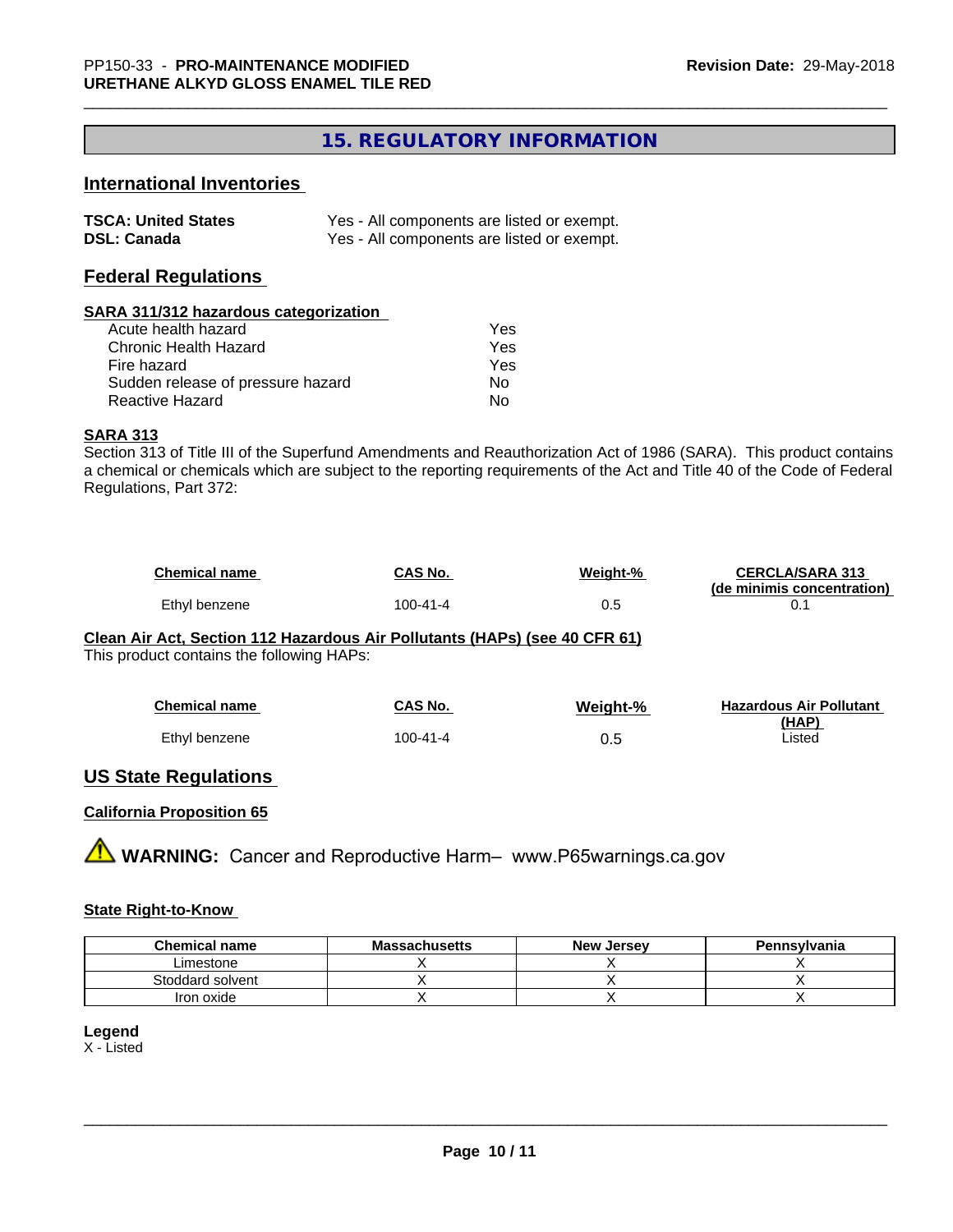# **15. REGULATORY INFORMATION**

# **International Inventories**

| <b>TSCA: United States</b> | Yes - All components are listed or exempt. |
|----------------------------|--------------------------------------------|
| <b>DSL: Canada</b>         | Yes - All components are listed or exempt. |

# **Federal Regulations**

#### **SARA 311/312 hazardous categorization**

| Acute health hazard               | Yes |
|-----------------------------------|-----|
| Chronic Health Hazard             | Yes |
| Fire hazard                       | Yes |
| Sudden release of pressure hazard | N٥  |
| Reactive Hazard                   | N٥  |

#### **SARA 313**

Section 313 of Title III of the Superfund Amendments and Reauthorization Act of 1986 (SARA). This product contains a chemical or chemicals which are subject to the reporting requirements of the Act and Title 40 of the Code of Federal Regulations, Part 372:

| <b>Chemical name</b> | <b>CAS No.</b> | Weight-% | <b>CERCLA/SARA 313</b>     |
|----------------------|----------------|----------|----------------------------|
|                      |                |          | (de minimis concentration) |
| Ethyl benzene        | 100-41-4       |          |                            |

# **Clean Air Act,Section 112 Hazardous Air Pollutants (HAPs) (see 40 CFR 61)**

This product contains the following HAPs:

| <b>Chemical name</b> | CAS No.        | Weight-% | <b>Hazardous Air Pollutant</b> |
|----------------------|----------------|----------|--------------------------------|
|                      |                |          | (HAP)                          |
| Ethyl benzene        | $100 - 41 - 4$ | 0.5      | Listed                         |

# **US State Regulations**

# **California Proposition 65**

**AN** WARNING: Cancer and Reproductive Harm– www.P65warnings.ca.gov

# **State Right-to-Know**

| <b>Chemical name</b> | <b>Massachusetts</b> | <b>New Jersey</b> | Pennsylvania |
|----------------------|----------------------|-------------------|--------------|
| Limestone            |                      |                   |              |
| Stoddard solvent     |                      |                   |              |
| Iron oxide           |                      |                   |              |

# **Legend**

X - Listed